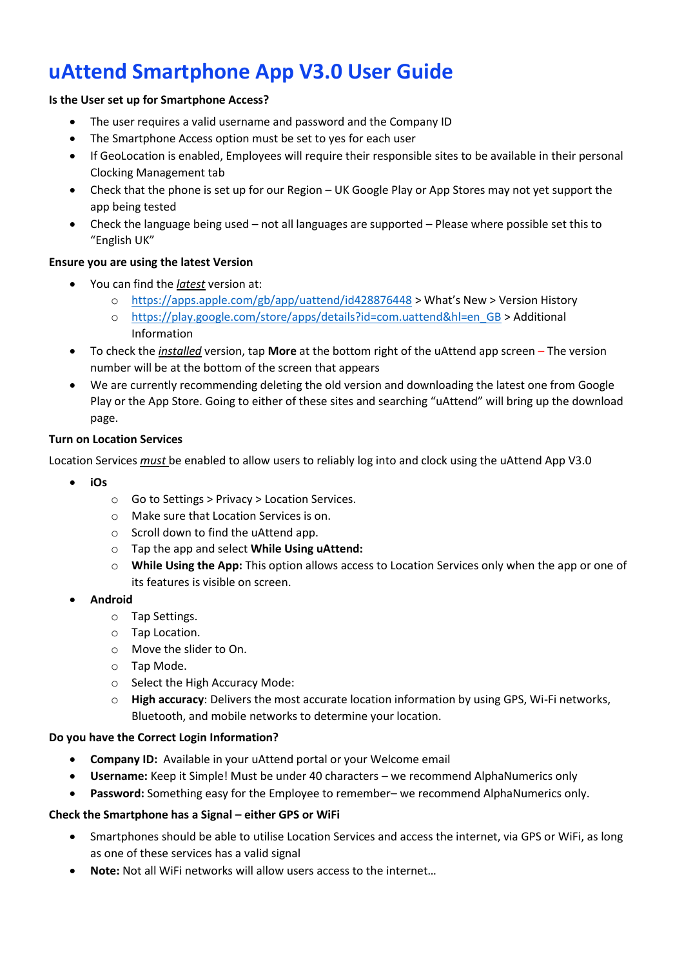# **uAttend Smartphone App V3.0 User Guide**

## **Is the User set up for Smartphone Access?**

- The user requires a valid username and password and the Company ID
- The Smartphone Access option must be set to yes for each user
- If GeoLocation is enabled, Employees will require their responsible sites to be available in their personal Clocking Management tab
- Check that the phone is set up for our Region UK Google Play or App Stores may not yet support the app being tested
- Check the language being used not all languages are supported Please where possible set this to "English UK"

## **Ensure you are using the latest Version**

- You can find the *latest* version at:
	- o <https://apps.apple.com/gb/app/uattend/id428876448> > What's New > Version History
	- o [https://play.google.com/store/apps/details?id=com.uattend&hl=en\\_GB](https://play.google.com/store/apps/details?id=com.uattend&hl=en_GB) > Additional Information
- To check the *installed* version, tap **More** at the bottom right of the uAttend app screen The version number will be at the bottom of the screen that appears
- We are currently recommending deleting the old version and downloading the latest one from Google Play or the App Store. Going to either of these sites and searching "uAttend" will bring up the download page.

## **Turn on Location Services**

Location Services *must* be enabled to allow users to reliably log into and clock using the uAttend App V3.0

- **iOs** 
	- o Go to Settings > Privacy > Location Services.
	- o Make sure that Location Services is on.
	- o Scroll down to find the uAttend app.
	- o Tap the app and select **While Using uAttend:**
	- o **While Using the App:** This option allows access to Location Services only when the app or one of its features is visible on screen.
- **Android**
	- o Tap Settings.
	- o Tap Location.
	- o Move the slider to On.
	- o Tap Mode.
	- o Select the High Accuracy Mode:
	- o **High accuracy**: Delivers the most accurate location information by using GPS, Wi-Fi networks, Bluetooth, and mobile networks to determine your location.

#### **Do you have the Correct Login Information?**

- **Company ID:** Available in your uAttend portal or your Welcome email
- **Username:** Keep it Simple! Must be under 40 characters we recommend AlphaNumerics only
- **Password:** Something easy for the Employee to remember– we recommend AlphaNumerics only.

#### **Check the Smartphone has a Signal – either GPS or WiFi**

- Smartphones should be able to utilise Location Services and access the internet, via GPS or WiFi, as long as one of these services has a valid signal
- **Note:** Not all WiFi networks will allow users access to the internet…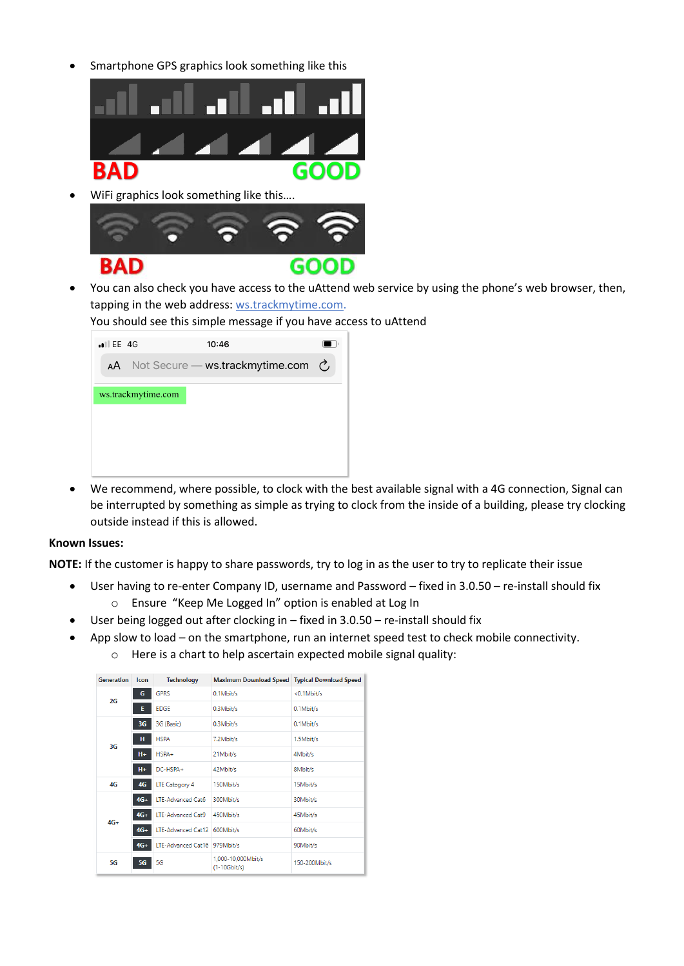• Smartphone GPS graphics look something like this



• WiFi graphics look something like this….



• You can also check you have access to the uAttend web service by using the phone's web browser, then, tapping in the web address: ws.trackmytime.com.

You should see this simple message if you have access to uAttend

| $\blacksquare$ EE 4G |  | 10:46                                               |  |  |  |
|----------------------|--|-----------------------------------------------------|--|--|--|
| AÅ                   |  | Not Secure — ws.trackmytime.com $\circlearrowright$ |  |  |  |
| ws.trackmytime.com   |  |                                                     |  |  |  |
|                      |  |                                                     |  |  |  |
|                      |  |                                                     |  |  |  |
|                      |  |                                                     |  |  |  |

• We recommend, where possible, to clock with the best available signal with a 4G connection, Signal can be interrupted by something as simple as trying to clock from the inside of a building, please try clocking outside instead if this is allowed.

#### **Known Issues:**

**NOTE:** If the customer is happy to share passwords, try to log in as the user to try to replicate their issue

- User having to re-enter Company ID, username and Password fixed in 3.0.50 re-install should fix o Ensure "Keep Me Logged In" option is enabled at Log In
	- User being logged out after clocking in fixed in 3.0.50 re-install should fix
	- App slow to load on the smartphone, run an internet speed test to check mobile connectivity.
		- o Here is a chart to help ascertain expected mobile signal quality:

| Generation     | <b>Icon</b>    | <b>Technology</b>              | Maximum Download Speed Typical Download Speed |               |
|----------------|----------------|--------------------------------|-----------------------------------------------|---------------|
| 2G             | G              | <b>GPRS</b>                    | 0.1Mbit/s                                     | <0.1Mbit/s    |
|                | E              | <b>EDGE</b>                    | $0.3$ Mbit/s                                  | $0.1$ Mbit/s  |
| 3 <sub>G</sub> | 3 <sub>G</sub> | 3G (Basic)                     | 0.3Mbit/s                                     | $0.1$ Mbit/s  |
|                | н              | <b>HSPA</b>                    | 7.2Mbit/s                                     | 1.5Mbit/s     |
|                | H+             | $HSPA+$                        | 21Mbit/s                                      | $4M$ hit/s    |
|                | H+             | $DC$ -HSPA+                    | 42Mbit/s                                      | 8Mbit/s       |
| 4G             | 4G             | LTE Category 4                 | 150Mbit/s                                     | 15Mbit/s      |
| $4G+$          | 4G+            | <b>ITF-Advanced Cat6</b>       | 300Mbit/s                                     | 30Mbit/s      |
|                | $4G+$          | LTE-Advanced Cat9              | 450Mbit/s                                     | 45Mbit/s      |
|                | $4G+$          | LTE-Advanced Cat12   600Mbit/s |                                               | 60Mbit/s      |
|                | $4G+$          | LTE-Advanced Cat16 979Mbit/s   |                                               | 90Mbit/s      |
| 5G             | <b>5G</b>      | 5G                             | 1,000-10,000Mbit/s<br>$(1-10Gbit/s)$          | 150-200Mbit/s |